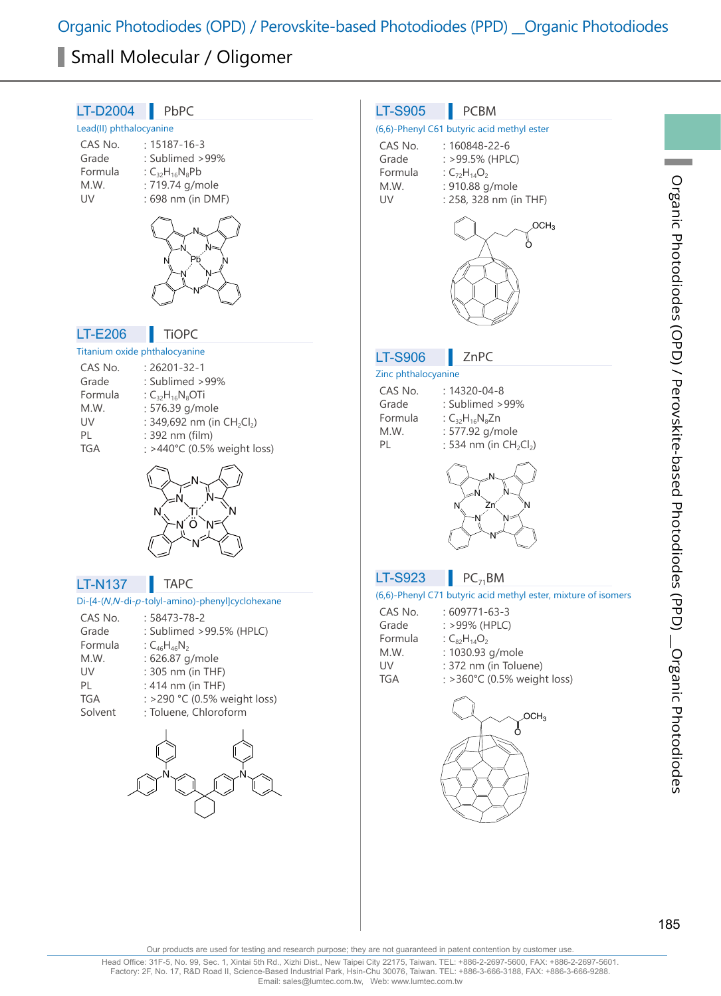Organic Photodiodes (OPD) / Perovskite-based Photodiodes (PPD) \_\_Organic Photodiodes

# Small Molecular / Oligomer



Our products are used for testing and research purpose; they are not guaranteed in patent contention by customer use.

Head Office: 31F-5, No. 99, Sec. 1, Xintai 5th Rd., Xizhi Dist., New Taipei City 22175, Taiwan. TEL: +886-2-2697-5600, FAX: +886-2-2697-5601. Factory: 2F, No. 17, R&D Road II, Science-Based Industrial Park, Hsin-Chu 30076, Taiwan. TEL: +886-3-666-3188, FAX: +886-3-666-9288. Email: sales@lumtec.com.tw, Web: www.lumtec.com.tw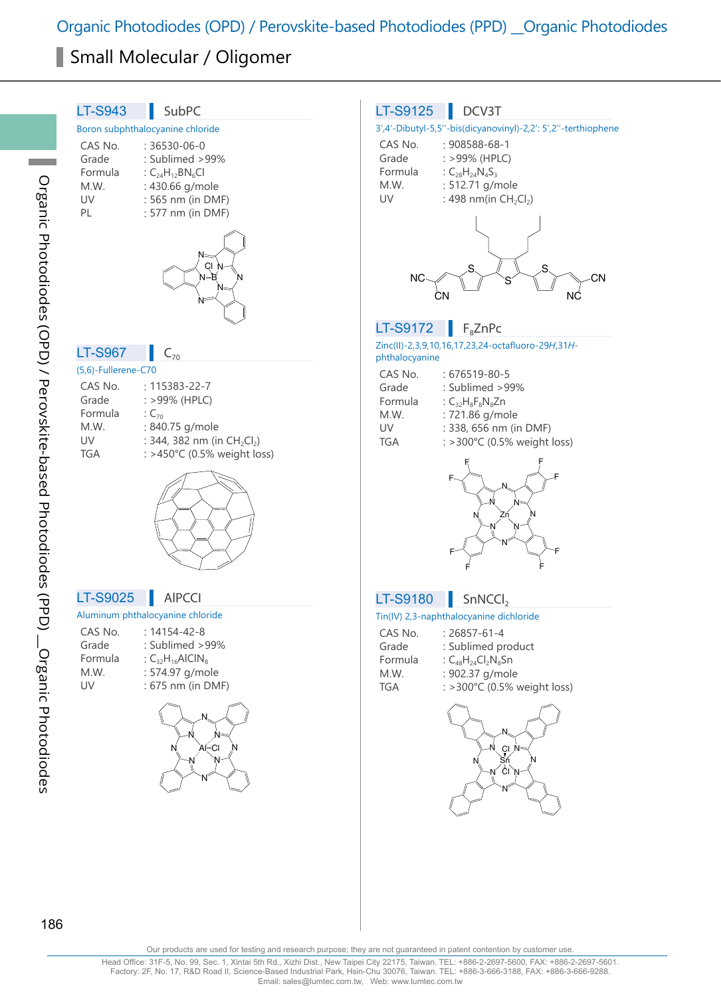Organic Photodiodes (OPD) / Perovskite-based Photodiodes (PPD) \_\_Organic Photodiodes

# Small Molecular / Oligomer

| <b>LT-S943</b><br>SubPC                                              | <b>LT-S9125</b><br>DCV3T                                        |
|----------------------------------------------------------------------|-----------------------------------------------------------------|
| Boron subphthalocyanine chloride                                     | 3',4'-Dibutyl-5,5"-bis(dicyanovinyl)-2,2': 5',2"-terthiophene   |
| $: 36530 - 06 - 0$<br>CAS No.                                        | CAS No.<br>: 908588-68-1                                        |
| Grade<br>: Sublimed >99%                                             | Grade<br>: >99% (HPLC)                                          |
| Formula<br>: $C_{24}H_{12}BN_6Cl$                                    | Formula<br>: $C_{28}H_{24}N_4S_3$                               |
| M.W.<br>: 430.66 g/mole                                              | : 512.71 g/mole<br>M.W.                                         |
| : 565 nm (in DMF)<br>UV                                              | : 498 nm(in CH <sub>2</sub> Cl <sub>2</sub> )<br>UV             |
| PL<br>: 577 nm (in DMF)                                              |                                                                 |
|                                                                      |                                                                 |
|                                                                      |                                                                 |
| CI N                                                                 |                                                                 |
| N-<br>-B                                                             | СN<br>ΝC                                                        |
|                                                                      | CΝ<br>ΝC                                                        |
|                                                                      |                                                                 |
|                                                                      | <b>LT-S9172</b><br>$F_8$ ZnPc                                   |
|                                                                      | Zinc(II)-2,3,9,10,16,17,23,24-octafluoro-29H,31H-               |
| <b>LT-S967</b><br>$C_{70}$                                           | phthalocyanine                                                  |
| (5,6)-Fullerene-C70                                                  | CAS No.<br>: 676519-80-5                                        |
| CAS No.<br>: 115383-22-7                                             | Grade<br>: Sublimed > 99%                                       |
| Grade<br>: >99% (HPLC)                                               | Formula<br>: $C_{32}H_8F_8N_8Zn$                                |
| Formula<br>: $C_{70}$                                                | : 721.86 g/mole<br>M.W.                                         |
| : 840.75 g/mole<br>M.W.                                              | : 338, 656 nm (in DMF)<br>UV                                    |
| : 344, 382 nm (in CH <sub>2</sub> Cl <sub>2</sub> )<br>UV            | : >300°C (0.5% weight loss)<br><b>TGA</b>                       |
| : >450°C (0.5% weight loss)<br><b>TGA</b>                            |                                                                 |
|                                                                      |                                                                 |
|                                                                      |                                                                 |
|                                                                      |                                                                 |
|                                                                      | 7n                                                              |
|                                                                      |                                                                 |
|                                                                      |                                                                 |
|                                                                      |                                                                 |
|                                                                      |                                                                 |
| <b>LT-S9025</b><br><b>AIPCCI</b><br>Aluminum phthalocyanine chloride | SnNCCI <sub>2</sub><br><b>LT-S9180</b>                          |
|                                                                      | Tin(IV) 2,3-naphthalocyanine dichloride                         |
| CAS No.<br>$: 14154 - 42 - 8$<br>: Sublimed >99%<br>Grade            | CAS No.<br>$: 26857 - 61 - 4$                                   |
| Formula                                                              | Grade<br>: Sublimed product                                     |
| : $C_{32}H_{16}$ AlCIN <sub>8</sub><br>M.W.<br>: 574.97 g/mole       | Formula<br>: $C_{48}H_{24}Cl_2N_8Sn$<br>: 902.37 g/mole<br>M.W. |
| : 675 nm (in DMF)<br>UV                                              | TGA<br>: >300°C (0.5% weight loss)                              |
|                                                                      |                                                                 |
|                                                                      |                                                                 |
|                                                                      |                                                                 |
| N<br>Al−Cl                                                           |                                                                 |
| 'N                                                                   | $\frac{c_1}{s_1}$ <sup>N</sup>                                  |
|                                                                      | $N$ $\overset{?}{C}N$                                           |
|                                                                      | N                                                               |
|                                                                      |                                                                 |
|                                                                      |                                                                 |
|                                                                      |                                                                 |
|                                                                      |                                                                 |
|                                                                      |                                                                 |

Our products are used for testing and research purpose; they are not guaranteed in patent contention by customer use.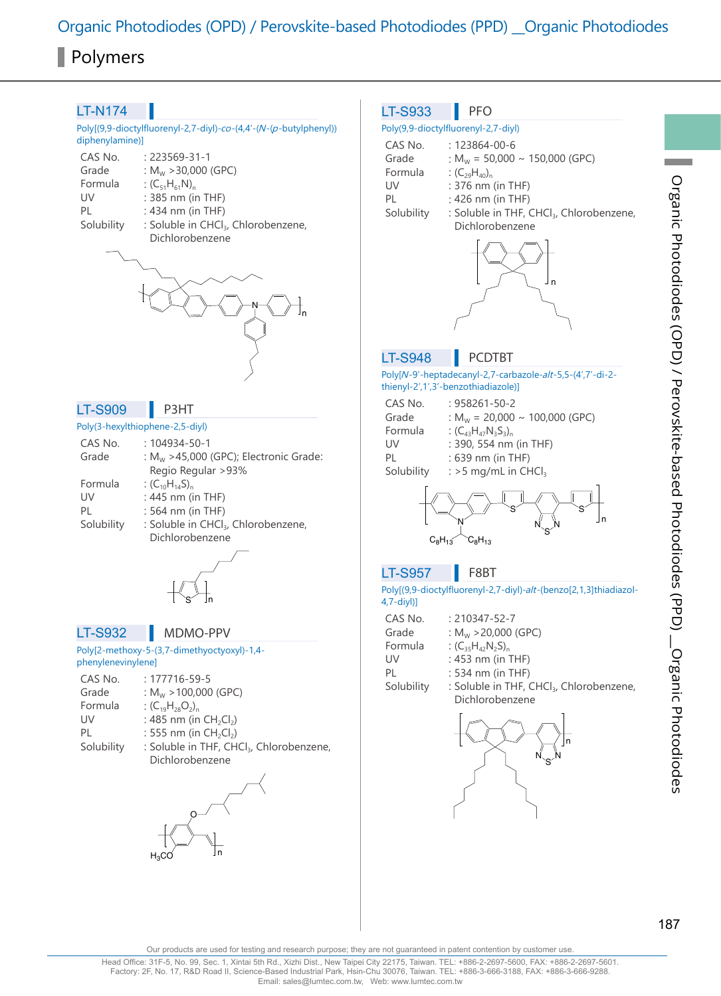### LT-N174

Poly[(9,9-dioctylfluorenyl-2,7-diyl)-co-(4,4'-(N-(p-butylphenyl)) diphenylamine)]

| CAS No.    | $.223569 - 31 - 1$                              |
|------------|-------------------------------------------------|
| Grade      | : $M_w$ > 30,000 (GPC)                          |
| Formula    | : $(C_{51}H_{61}N)_{n}$                         |
| UV         | : 385 nm (in THF)                               |
| PL         | : 434 nm (in THF)                               |
| Solubility | : Soluble in CHCl <sub>3</sub> , Chlorobenzene, |
|            | Dichlorobenzene                                 |



### LT-S909 **P3HT**

### Poly(3-hexylthiophene-2,5-diyl)

| CAS No.    | $: 104934 - 50 - 1$                               |
|------------|---------------------------------------------------|
| Grade      | : M <sub>w</sub> >45,000 (GPC); Electronic Grade: |
|            | Regio Regular >93%                                |
| Formula    | : $(C_{10}H_{14}S)_{n}$                           |
| UV         | : $445$ nm (in THF)                               |
| PI         | $: 564$ nm (in THF)                               |
| Solubility | : Soluble in CHCl <sub>3</sub> , Chlorobenzene,   |
|            | Dichlorobenzene                                   |



### LT-S932 MDMO-PPV

### Poly[2-methoxy-5-(3,7-dimethyoctyoxyl)-1,4 phenylenevinylene]

| CAS No.    | $: 177716 - 59 - 5$                                  |
|------------|------------------------------------------------------|
| Grade      | : $M_w > 100,000$ (GPC)                              |
| Formula    | : $(C_{10}H_{28}O_2)_{n}$                            |
| UV         | : 485 nm (in $CH_2Cl_2$ )                            |
| PL         | : 555 nm (in $CH_2Cl_2$ )                            |
| Solubility | : Soluble in THF, CHCl <sub>3</sub> , Chlorobenzene, |
|            | Dichlorobenzene                                      |
|            |                                                      |

n O  $H_3CO$ 

### $LT-S933$  PFO

### Poly(9,9-dioctylfluorenyl-2,7-diyl) CAS No. : 123864-00-6

| Grade      | : $M_w$ = 50,000 $\sim$ 150,000 (GPC)                |
|------------|------------------------------------------------------|
| Formula    | : $(C_{29}H_{40})_p$                                 |
| UV         | $: 376$ nm (in THF)                                  |
| PL         | $: 426$ nm (in THF)                                  |
| Solubility | : Soluble in THF, CHCl <sub>3</sub> , Chlorobenzene, |
|            | Dichlorobenzene                                      |
|            |                                                      |



## LT-S948 | PCDTBT

### Poly[N-9'-heptadecanyl-2,7-carbazole-alt-5,5-(4',7'-di-2 thienyl-2',1',3'-benzothiadiazole)]

| CAS No.    | $: 958261 - 50 - 2$                   |
|------------|---------------------------------------|
| Grade      | : $M_w$ = 20,000 $\sim$ 100,000 (GPC) |
| Formula    | : $(C_{43}H_{47}N_3S_3)$              |
| UV         | : 390, 554 nm (in THF)                |
| PI         | : 639 nm (in THF)                     |
| Solubility | : $>5$ mg/mL in CHCl.                 |
|            |                                       |

$$
\left\{\left(\left.\begin{matrix} & & \\ & & s \\ & & & s \\ & & & s \\ & & & s\end{matrix}\right\}_{n} \right\}_{\mathsf{S}}
$$

### LT-S957 **F8BT**

Poly[(9,9-dioctylfluorenyl-2,7-diyl)-alt-(benzo[2,1,3]thiadiazol-4,7-diyl)]

| CAS No.    | $: 210347 - 52 - 7$                                                     |
|------------|-------------------------------------------------------------------------|
| Grade      | : $M_w$ > 20,000 (GPC)                                                  |
| Formula    | : $(C_{35}H_{42}N_2S)_{n}$                                              |
| UV         | : 453 nm (in THF)                                                       |
| PI         | : 534 nm (in THF)                                                       |
| Solubility | : Soluble in THF, CHCl <sub>3</sub> , Chlorobenzene,<br>Dichlorobenzene |
|            |                                                                         |



Our products are used for testing and research purpose; they are not guaranteed in patent contention by customer use.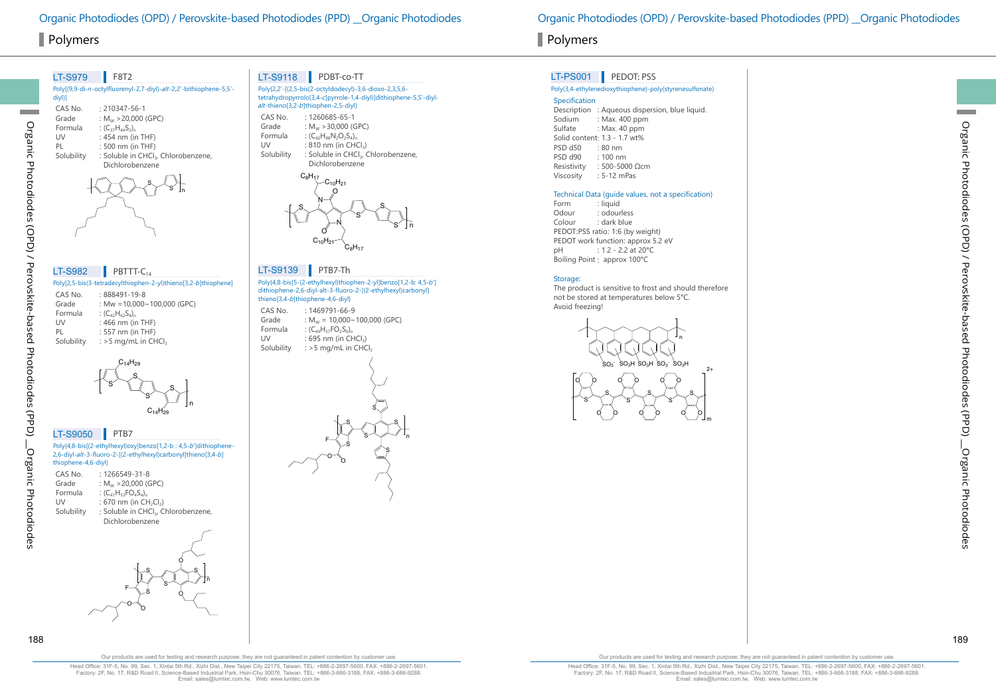| <b>LT-S979</b> | F8T2                                                               |
|----------------|--------------------------------------------------------------------|
| div()          | Poly[(9,9-di-n-octylfluorenyl-2,7-diyl)-alt-2,2'-bithiophene-5,5'- |
| CAS No.        | $.210347 - 56 - 1$                                                 |
| Grade          | : $M_w$ > 20,000 (GPC)                                             |
| Formula        | : $(C_{37}H_{44}S_{2})_{n}$                                        |
| UV             | $: 454$ nm (in THF)                                                |
| PI             | : 500 nm (in THF)                                                  |
| Solubility     | : Soluble in CHCl, Chlorobenzene,                                  |
|                | Dichlorobenzene                                                    |
|                |                                                                    |

Poly[2,5-bis(3-tetradecylthiophen-2-yl)thieno[3,2-b]thiophene] CAS No. : 888491-19-8<br>Grade : Mw = 10.000 : Mw =10,000~100,000 (GPC) Formula :  $(C_{42}H_{62}S_{4})_n$ <br>UV : 466 nm (in UV : 466 nm (in THF)<br>PL : 557 nm (in THF) PL : 557 nm (in THF)<br>Solubility : >5 mg/mL in CH :  $>5$  mg/mL in CHCl<sub>3</sub> LT-S982 PBTTT- $C_{14}$ 



## LT-S9050 **PTB7**

Poly{4,8-bis[(2-ethylhexyl)oxy]benzo[1,2-b : 4,5-b']dithiophene-2,6-diyl-alt-3-fluoro-2-[(2-ethylhexyl)carbonyl]thieno[3,4-b] thiophene-4,6-diyl}

| CAS No.    | $: 1266549 - 31 - 8$                            |
|------------|-------------------------------------------------|
| Grade      | : $M_w$ > 20,000 (GPC)                          |
| Formula    | : $(C_{41}H_{52}FO_{4}S_{4})$                   |
| UV         | : 670 nm (in $CH_2Cl_2$ )                       |
| Solubility | : Soluble in CHCl <sub>3</sub> , Chlorobenzene, |
|            | Dichlorobenzene                                 |
|            |                                                 |

S  $F\searrow$   $S$   $S$ S O O  $\circ$ n

## LT-S9118 PDBT-co-TT

|                                                 | Poly{2,2'-[(2,5-bis(2-octyldodecyl)-3,6-dioxo-2,3,5,6-<br>tetrahydropyrrolo[3,4-c]pyrrole-1,4-diyl)]dithiophene-5,5'-diyl-<br>alt-thieno[3,2-b]thiophen-2,5-diyl}                  |
|-------------------------------------------------|------------------------------------------------------------------------------------------------------------------------------------------------------------------------------------|
| CAS No.<br>Grade<br>Formula<br>UV<br>Solubility | $: 1260685 - 65 - 1$<br>: $M_{W}$ > 30.000 (GPC)<br>: $(C_{60}H_{88}N_2O_2S_4)$<br>$: 810$ nm (in CHCl $3$ )<br>: Soluble in CHCl <sub>3</sub> , Chlorobenzene,<br>Dichlorobenzene |



### Poly{4,8-bis[5-(2-ethylhexyl)thiophen-2-yl]benzo[1,2-b: 4,5-b'] dithiophene-2,6-diyl-alt-3-fluoro-2-[(2-ethylhexyl)carbonyl] LT-S9139 **PTB7-Th**

thieno[3,4-b]thiophene-4,6-diyl} CAS No. : 1469791-66-9<br>Grade :  $M_w = 10,000 \sim$ Grade :  $M_w = 10,000 \sim 100,000$  (GPC)<br>Formula :  $(C_0H_{\text{ex}}FQ_0S_0)$ Formula :  $(C_{49}H_{57}FO_2S_6)$ <sub>n</sub><br>UV : 695 nm (in CH UV : 695 nm (in CHCl<sub>3</sub>)<br>Solubility : > 5 mg/mL in CHC :  $>$  5 mg/mL in CHCl<sub>3</sub>



# Polymers Polymers

## LT-PS001 PEDOT: PSS

### Poly(3,4-ethylenedioxythiophene)-poly(styrenesulfonate)

Specification Description : Aqueous dispersion, blue liquid.<br>Sodium : Max. 400 ppm Sodium : Max. 400 ppm<br>Sulfate : Max. 40 ppm  $:$  Max. 40 ppm Solid content: 1.3 - 1.7 wt%<br>PSD d50 : 80 nm PSD d50<br>PSD d90 PSD d90 : 100 nm Resistivity : 500-5000 Ωcm<br>Viscosity : 5-12 mPas  $: 5-12$  mPas

# Technical Data (guide values, not a specification)

Form : liquid<br>Odour : odour Odour : odourless<br>Colour : dark blue : dark blue PEDOT:PSS ratio: 1:6 (by weight) PEDOT work function: approx 5.2 eV pH : 1.2 - 2.2 at 20°C Boiling Point : approx 100°C

## Storage:

The product is sensitive to frost and should therefore not be stored at temperatures below 5°C. Avoid freezing!

> $\mathrm{SO}_3$  $SO<sub>2</sub>H$   $SO<sub>2</sub>H$   $SO<sub>3</sub>F$ n



188 189

Organic Photodiodes (OPD) / Perovskite-based Photodiodes (PPD) \_\_Organic Photodiodes

Organic Photodiodes

Organic Photodiodes (OPD) / Perovskite-based Photodiodes (PPD)

Our products are used for testing and research purpose; they are not guaranteed in patent contention by customer use

Head Office: 31F-5, No. 99, Sec. 1, Xintai 5th Rd., Xizhi Dist., New Taipei City 22175, Taiwan. TEL: +886-2-2697-5600, FAX: +886-2-2697-5601. Factory: 2F, No. 17, R&D Road II, Science-Based Industrial Park, Hsin-Chu 30076, Taiwan. TEL: +886-3-666-3188, FAX: +886-3-666-9288. Email: sales@lumtec.com.tw, Web: www.lumtec.com.tw

Our products are used for testing and research purpose; they are not guaranteed in patent contention by customer use